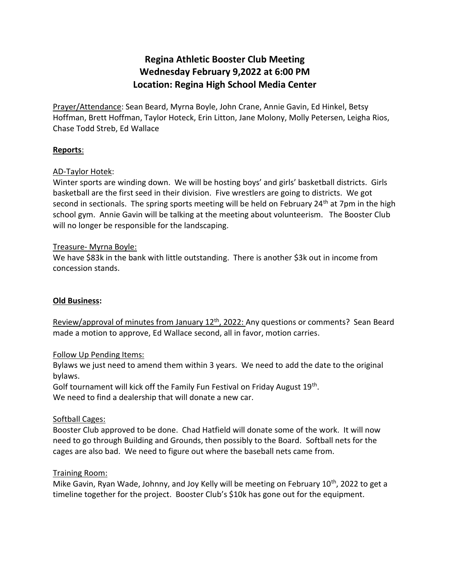# **Regina Athletic Booster Club Meeting Wednesday February 9,2022 at 6:00 PM Location: Regina High School Media Center**

Prayer/Attendance: Sean Beard, Myrna Boyle, John Crane, Annie Gavin, Ed Hinkel, Betsy Hoffman, Brett Hoffman, Taylor Hoteck, Erin Litton, Jane Molony, Molly Petersen, Leigha Rios, Chase Todd Streb, Ed Wallace

# **Reports**:

# AD-Taylor Hotek:

Winter sports are winding down. We will be hosting boys' and girls' basketball districts. Girls basketball are the first seed in their division. Five wrestlers are going to districts. We got second in sectionals. The spring sports meeting will be held on February 24<sup>th</sup> at 7pm in the high school gym. Annie Gavin will be talking at the meeting about volunteerism. The Booster Club will no longer be responsible for the landscaping.

## Treasure- Myrna Boyle:

We have \$83k in the bank with little outstanding. There is another \$3k out in income from concession stands.

## **Old Business:**

Review/approval of minutes from January 12<sup>th</sup>, 2022: Any questions or comments? Sean Beard made a motion to approve, Ed Wallace second, all in favor, motion carries.

## Follow Up Pending Items:

Bylaws we just need to amend them within 3 years. We need to add the date to the original bylaws.

Golf tournament will kick off the Family Fun Festival on Friday August 19<sup>th</sup>. We need to find a dealership that will donate a new car.

## Softball Cages:

Booster Club approved to be done. Chad Hatfield will donate some of the work. It will now need to go through Building and Grounds, then possibly to the Board. Softball nets for the cages are also bad. We need to figure out where the baseball nets came from.

## Training Room:

Mike Gavin, Ryan Wade, Johnny, and Joy Kelly will be meeting on February 10<sup>th</sup>, 2022 to get a timeline together for the project. Booster Club's \$10k has gone out for the equipment.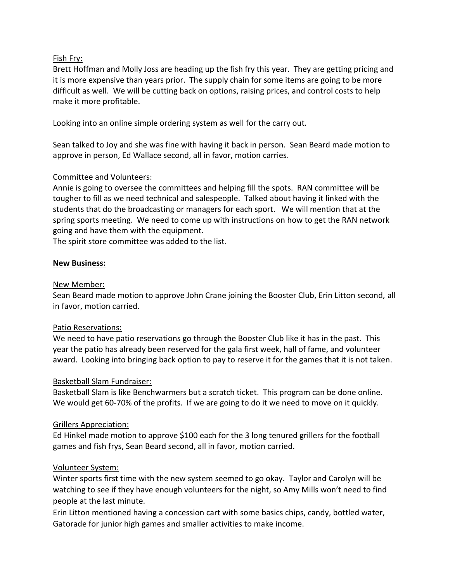# Fish Fry:

Brett Hoffman and Molly Joss are heading up the fish fry this year. They are getting pricing and it is more expensive than years prior. The supply chain for some items are going to be more difficult as well. We will be cutting back on options, raising prices, and control costs to help make it more profitable.

Looking into an online simple ordering system as well for the carry out.

Sean talked to Joy and she was fine with having it back in person. Sean Beard made motion to approve in person, Ed Wallace second, all in favor, motion carries.

# Committee and Volunteers:

Annie is going to oversee the committees and helping fill the spots. RAN committee will be tougher to fill as we need technical and salespeople. Talked about having it linked with the students that do the broadcasting or managers for each sport. We will mention that at the spring sports meeting. We need to come up with instructions on how to get the RAN network going and have them with the equipment.

The spirit store committee was added to the list.

# **New Business:**

## New Member:

Sean Beard made motion to approve John Crane joining the Booster Club, Erin Litton second, all in favor, motion carried.

## Patio Reservations:

We need to have patio reservations go through the Booster Club like it has in the past. This year the patio has already been reserved for the gala first week, hall of fame, and volunteer award. Looking into bringing back option to pay to reserve it for the games that it is not taken.

## Basketball Slam Fundraiser:

Basketball Slam is like Benchwarmers but a scratch ticket. This program can be done online. We would get 60-70% of the profits. If we are going to do it we need to move on it quickly.

## Grillers Appreciation:

Ed Hinkel made motion to approve \$100 each for the 3 long tenured grillers for the football games and fish frys, Sean Beard second, all in favor, motion carried.

## Volunteer System:

Winter sports first time with the new system seemed to go okay. Taylor and Carolyn will be watching to see if they have enough volunteers for the night, so Amy Mills won't need to find people at the last minute.

Erin Litton mentioned having a concession cart with some basics chips, candy, bottled water, Gatorade for junior high games and smaller activities to make income.